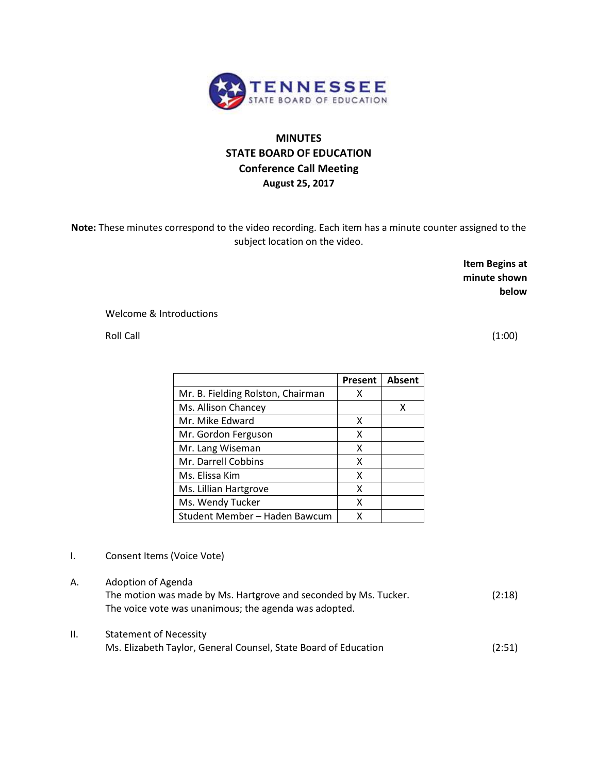

# **MINUTES STATE BOARD OF EDUCATION Conference Call Meeting August 25, 2017**

**Note:** These minutes correspond to the video recording. Each item has a minute counter assigned to the subject location on the video.

> **Item Begins at minute shown below**

## Welcome & Introductions

Roll Call (1:00)

|                                   | Present | Absent |
|-----------------------------------|---------|--------|
| Mr. B. Fielding Rolston, Chairman | х       |        |
| Ms. Allison Chancey               |         | х      |
| Mr. Mike Edward                   | x       |        |
| Mr. Gordon Ferguson               | x       |        |
| Mr. Lang Wiseman                  | x       |        |
| Mr. Darrell Cobbins               | x       |        |
| Ms. Elissa Kim                    | x       |        |
| Ms. Lillian Hartgrove             | x       |        |
| Ms. Wendy Tucker                  | x       |        |
| Student Member - Haden Bawcum     |         |        |

## I. Consent Items (Voice Vote)

# A. Adoption of Agenda The motion was made by Ms. Hartgrove and seconded by Ms. Tucker. (2:18) The voice vote was unanimous; the agenda was adopted.

II. Statement of Necessity Ms. Elizabeth Taylor, General Counsel, State Board of Education (2:51)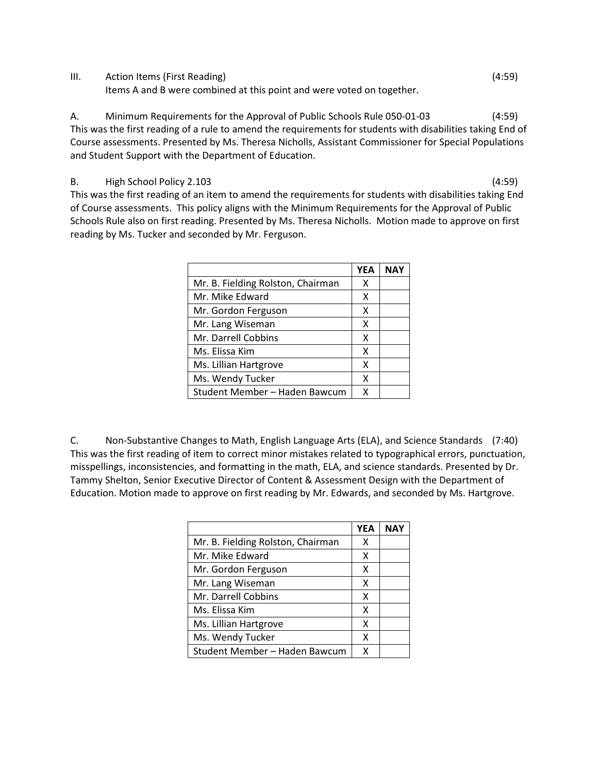III. Action Items (First Reading) (4:59) Items A and B were combined at this point and were voted on together.

A. Minimum Requirements for the Approval of Public Schools Rule 050-01-03 (4:59) This was the first reading of a rule to amend the requirements for students with disabilities taking End of Course assessments. Presented by Ms. Theresa Nicholls, Assistant Commissioner for Special Populations and Student Support with the Department of Education.

B. High School Policy 2.103 (4:59)

This was the first reading of an item to amend the requirements for students with disabilities taking End of Course assessments. This policy aligns with the Minimum Requirements for the Approval of Public Schools Rule also on first reading. Presented by Ms. Theresa Nicholls. Motion made to approve on first reading by Ms. Tucker and seconded by Mr. Ferguson.

|                                   | <b>YEA</b> | <b>NAY</b> |
|-----------------------------------|------------|------------|
| Mr. B. Fielding Rolston, Chairman | x          |            |
| Mr. Mike Edward                   | X          |            |
| Mr. Gordon Ferguson               | x          |            |
| Mr. Lang Wiseman                  | x          |            |
| Mr. Darrell Cobbins               | x          |            |
| Ms. Elissa Kim                    | x          |            |
| Ms. Lillian Hartgrove             | x          |            |
| Ms. Wendy Tucker                  | x          |            |
| Student Member - Haden Bawcum     | x          |            |

C. Non-Substantive Changes to Math, English Language Arts (ELA), and Science Standards (7:40) This was the first reading of item to correct minor mistakes related to typographical errors, punctuation, misspellings, inconsistencies, and formatting in the math, ELA, and science standards. Presented by Dr. Tammy Shelton, Senior Executive Director of Content & Assessment Design with the Department of Education. Motion made to approve on first reading by Mr. Edwards, and seconded by Ms. Hartgrove.

|                                   | <b>YEA</b> | <b>NAY</b> |
|-----------------------------------|------------|------------|
| Mr. B. Fielding Rolston, Chairman | x          |            |
| Mr. Mike Edward                   | x          |            |
| Mr. Gordon Ferguson               | x          |            |
| Mr. Lang Wiseman                  | x          |            |
| Mr. Darrell Cobbins               | x          |            |
| Ms. Elissa Kim                    | x          |            |
| Ms. Lillian Hartgrove             | X          |            |
| Ms. Wendy Tucker                  | x          |            |
| Student Member - Haden Bawcum     | x          |            |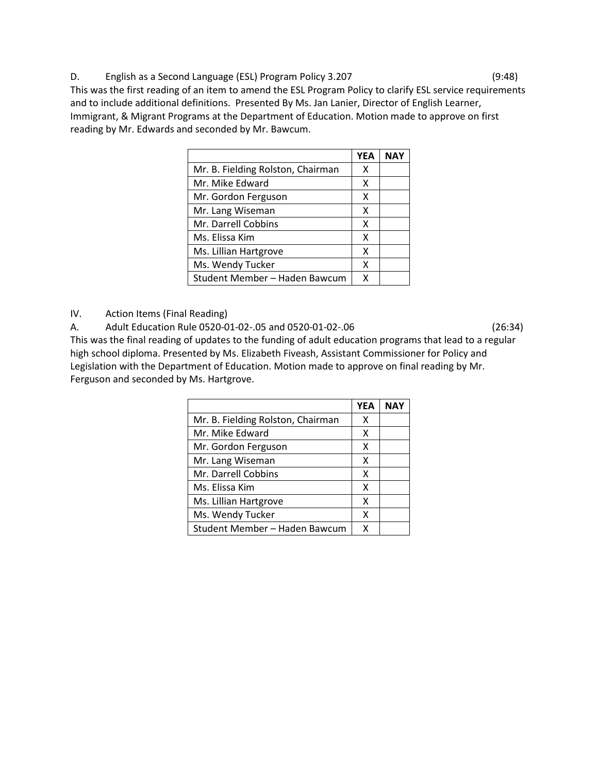## D. English as a Second Language (ESL) Program Policy 3.207 (9:48)

This was the first reading of an item to amend the ESL Program Policy to clarify ESL service requirements and to include additional definitions. Presented By Ms. Jan Lanier, Director of English Learner, Immigrant, & Migrant Programs at the Department of Education. Motion made to approve on first reading by Mr. Edwards and seconded by Mr. Bawcum.

|                                   | <b>YEA</b> | <b>NAY</b> |
|-----------------------------------|------------|------------|
| Mr. B. Fielding Rolston, Chairman | х          |            |
| Mr. Mike Edward                   | x          |            |
| Mr. Gordon Ferguson               | X          |            |
| Mr. Lang Wiseman                  | X          |            |
| Mr. Darrell Cobbins               | x          |            |
| Ms. Elissa Kim                    | x          |            |
| Ms. Lillian Hartgrove             | x          |            |
| Ms. Wendy Tucker                  | x          |            |
| Student Member - Haden Bawcum     | χ          |            |

IV. Action Items (Final Reading)

A. Adult Education Rule 0520-01-02-.05 and 0520-01-02-.06 (26:34)

This was the final reading of updates to the funding of adult education programs that lead to a regular high school diploma. Presented by Ms. Elizabeth Fiveash, Assistant Commissioner for Policy and Legislation with the Department of Education. Motion made to approve on final reading by Mr. Ferguson and seconded by Ms. Hartgrove.

|                                   | <b>YEA</b> | <b>NAY</b> |
|-----------------------------------|------------|------------|
| Mr. B. Fielding Rolston, Chairman | x          |            |
| Mr. Mike Edward                   | x          |            |
| Mr. Gordon Ferguson               | x          |            |
| Mr. Lang Wiseman                  | x          |            |
| Mr. Darrell Cobbins               | X          |            |
| Ms. Elissa Kim                    | x          |            |
| Ms. Lillian Hartgrove             | X          |            |
| Ms. Wendy Tucker                  | X          |            |
| Student Member - Haden Bawcum     | х          |            |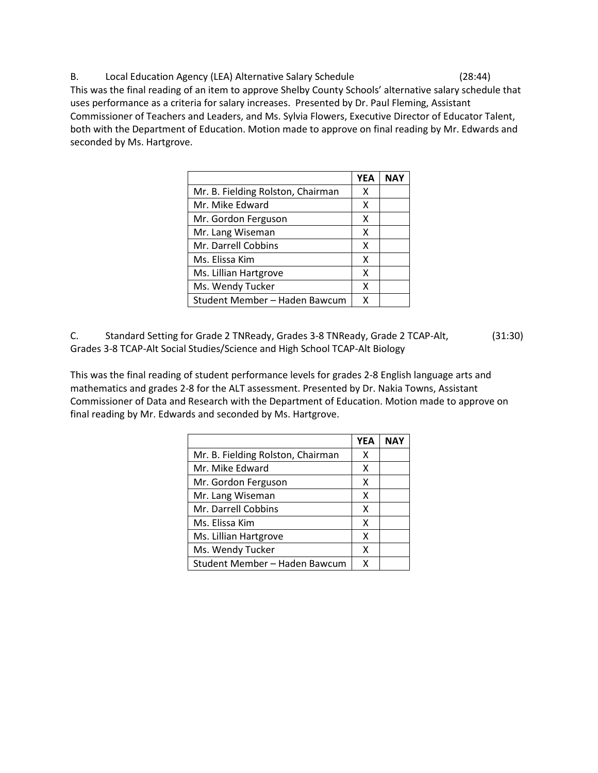B. Local Education Agency (LEA) Alternative Salary Schedule (28:44) This was the final reading of an item to approve Shelby County Schools' alternative salary schedule that uses performance as a criteria for salary increases. Presented by Dr. Paul Fleming, Assistant Commissioner of Teachers and Leaders, and Ms. Sylvia Flowers, Executive Director of Educator Talent, both with the Department of Education. Motion made to approve on final reading by Mr. Edwards and seconded by Ms. Hartgrove.

|                                   | <b>YEA</b> | <b>NAY</b> |
|-----------------------------------|------------|------------|
| Mr. B. Fielding Rolston, Chairman | x          |            |
| Mr. Mike Edward                   | х          |            |
| Mr. Gordon Ferguson               | X          |            |
| Mr. Lang Wiseman                  | x          |            |
| Mr. Darrell Cobbins               | Χ          |            |
| Ms. Elissa Kim                    | x          |            |
| Ms. Lillian Hartgrove             | x          |            |
| Ms. Wendy Tucker                  | X          |            |
| Student Member - Haden Bawcum     | x          |            |

C. Standard Setting for Grade 2 TNReady, Grades 3-8 TNReady, Grade 2 TCAP-Alt, (31:30) Grades 3-8 TCAP-Alt Social Studies/Science and High School TCAP-Alt Biology

This was the final reading of student performance levels for grades 2-8 English language arts and mathematics and grades 2-8 for the ALT assessment. Presented by Dr. Nakia Towns, Assistant Commissioner of Data and Research with the Department of Education. Motion made to approve on final reading by Mr. Edwards and seconded by Ms. Hartgrove.

|                                   | <b>YEA</b> | <b>NAY</b> |
|-----------------------------------|------------|------------|
| Mr. B. Fielding Rolston, Chairman | х          |            |
| Mr. Mike Edward                   | x          |            |
| Mr. Gordon Ferguson               | x          |            |
| Mr. Lang Wiseman                  | x          |            |
| Mr. Darrell Cobbins               | х          |            |
| Ms. Elissa Kim                    | X          |            |
| Ms. Lillian Hartgrove             | x          |            |
| Ms. Wendy Tucker                  | x          |            |
| Student Member - Haden Bawcum     | x          |            |